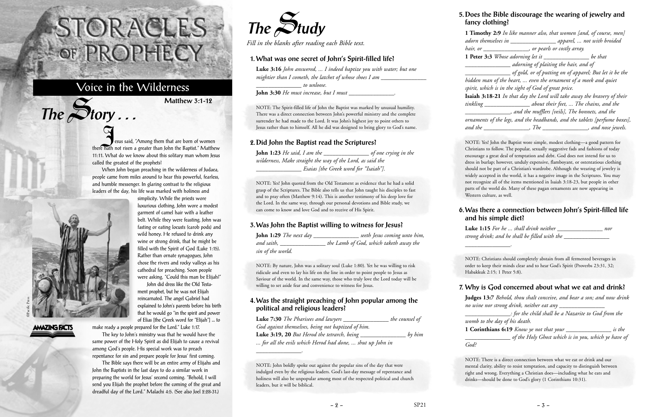Sesus said, "Among them that are born of women there hath not risen a greater than John the Baptist." Matthew 11:11. What do we know about this solitary man whom Jesus called the greatest of the prophets?

When John began preaching in the wilderness of Judaea, people came from miles around to hear this powerful, fearless, and humble messenger. In glaring contrast to the religious leaders of the day, his life was marked with holiness and



 $The$  $S$ **tory** ...

simplicity. While the priests wore luxurious clothing, John wore a modest garment of camel hair with a leather belt. While they were feasting, John was fasting or eating locusts (carob pods) and wild honey. He refused to drink any wine or strong drink, that he might be filled with the Spirit of God (Luke 1:15). Rather than ornate synagogues, John chose the rivers and rocky valleys as his cathedral for preaching. Soon people were asking, "Could this man be Elijah?"

John did dress like the Old Testament prophet, but he was not Elijah reincarnated. The angel Gabriel had explained to John's parents before his birth that he would go "in the spirit and power of Elias [the Greek word for "Elijah"] ... to

make ready a people prepared for the Lord." Luke 1:17.

The key to John's ministry was that he would have the same power of the Holy Spirit as did Elijah to cause a revival among God's people. His special work was to preach repentance for sin and prepare people for Jesus' first coming.

The Bible says there will be an entire army of Elijahs and John the Baptists in the last days to do a similar work in preparing the world for Jesus' second coming. "Behold, I will send you Elijah the prophet before the coming of the great and dreadful day of the Lord." Malachi 4:5. (See also Joel 2:28-31.)

# STORACLES-OF PROPHECY

## Voice in the Wilderness

**Matthew 3:1-12**



*Fill in the blanks after reading each Bible text.*

#### **1. What was one secret of John's Spirit-filled life?**

**Luke 3:16** *John answered, ... I indeed baptize you with water; but one mightier than I cometh, the latchet of whose shoes I am \_\_\_\_\_\_\_\_\_\_\_\_\_\_\_\_\_\_\_\_\_\_\_ \_\_\_\_\_\_\_\_\_\_\_\_\_\_\_ to unloose.*

**John 3:30** *He must increase, but I must* \_\_\_\_\_\_\_\_\_\_\_\_\_\_\_*.*

NOTE: The Spirit-filled life of John the Baptist was marked by unusual humility. There was a direct connection between John's powerful ministry and the complete surrender he had made to the Lord. It was John's highest joy to point others to Jesus rather than to himself. All he did was designed to bring glory to God's name.

#### **2. Did John the Baptist read the Scriptures?**

**John 1:23** *He said, I am the* \_\_\_\_\_\_\_\_\_\_\_\_\_\_\_ *of one crying in the wilderness, Make straight the way of the Lord, as said the* \_\_\_\_\_\_\_\_\_\_\_\_\_\_\_ *Esaias [the Greek word for "Isaiah"].*

NOTE: Yes! John quoted from the Old Testament as evidence that he had a solid grasp of the Scriptures. The Bible also tells us that John taught his disciples to fast and to pray often (Matthew 9:14). This is another testimony of his deep love for the Lord. In the same way, through our personal devotions and Bible study, we can come to know and love God and to receive of His Spirit.

#### **3. Was John the Baptist willing to witness for Jesus?**

| <b>John 1:29</b> The next day | seeth Jesus coming unto him,           |
|-------------------------------|----------------------------------------|
| and saith,                    | the Lamb of God, which taketh away the |
| sin of the world.             |                                        |

NOTE: By nature, John was a solitary soul (Luke 1:80). Yet he was willing to risk ridicule and even to lay his life on the line in order to point people to Jesus as Saviour of the world. In the same way, those who truly love the Lord today will be willing to set aside fear and convenience to witness for Jesus.

#### **4. Was the straight preaching of John popular among the political and religious leaders?**

| Luke 7:30 The Pharisees and lawyers                      | the counsel of |
|----------------------------------------------------------|----------------|
| God against themselves, being not baptized of him.       |                |
| <b>Luke 3:19, 20</b> But Herod the tetrarch, being       | by him         |
| for all the evils which Herod had done,  shut up John in |                |

\_\_\_\_\_\_\_\_\_\_\_\_\_\_\_*.*

NOTE: John boldly spoke out against the popular sins of the day that were indulged even by the religious leaders. God's last-day message of repentance and holiness will also be unpopular among most of the respected political and church leaders, but it will be biblical.

#### **5. Does the Bible discourage the wearing of jewelry and fancy clothing?**

**1 Timothy 2:9** *In like manner also, that women [and, of course, men] adorn themselves in \_\_\_\_\_\_\_\_\_\_\_\_\_\_\_ apparel, ... not with broided hair, or \_\_\_\_\_\_\_\_\_\_\_\_\_\_\_, or pearls or costly array.* **1 Peter 3:3** *Whose adorning let it \_\_\_\_\_\_\_\_\_\_\_\_\_\_\_ be that \_\_\_\_\_\_\_\_\_\_\_\_\_\_\_ adorning of plaiting the hair, and of \_\_\_\_\_\_\_\_\_\_\_\_\_\_\_ of gold, or of putting on of apparel; But let it be the hidden man of the heart, ... even the ornament of a meek and quiet spirit, which is in the sight of God of great price.* **Isaiah 3:18-21** *In that day the Lord will take away the bravery of their tinkling \_\_\_\_\_\_\_\_\_\_\_\_\_\_\_ about their feet, ... The chains, and the \_\_\_\_\_\_\_\_\_\_\_\_\_\_\_, and the mufflers [veils], The bonnets, and the ornaments of the legs, and the headbands, and the tablets [perfume boxes], and the \_\_\_\_\_\_\_\_\_\_\_\_\_\_\_, The \_\_\_\_\_\_\_\_\_\_\_\_\_\_\_, and nose jewels.*

NOTE: Yes! John the Baptist wore simple, modest clothing—a good pattern for Christians to follow. The popular, sexually suggestive fads and fashions of today encourage a great deal of temptation and debt. God does not intend for us to dress in burlap; however, unduly expensive, flamboyant, or ostentatious clothing should not be part of a Christian's wardrobe. Although the wearing of jewelry is widely accepted in the world, it has a negative image in the Scriptures. You may not recognize all of the items mentioned in Isaiah 3:18-23, but people in other parts of the world do. Many of these pagan ornaments are now appearing in Western culture, as well.

#### **6. Was there a connection between John's Spirit-filled life and his simple diet?**

**Luke 1:15** *For he ... shall drink neither \_\_\_\_\_\_\_\_\_\_\_\_\_\_\_ nor strong drink; and he shall be filled with the \_\_\_\_\_\_\_\_\_\_\_\_\_\_\_*

*\_\_\_\_\_\_\_\_\_\_\_\_\_\_\_.*

NOTE: Christians should completely abstain from all fermented beverages in order to keep their minds clear and to hear God's Spirit (Proverbs 23:31, 32; Habakkuk 2:15; 1 Peter 5:8).

#### **7. Why is God concerned about what we eat and drink?**

**Judges 13:7** *Behold, thou shalt conceive, and bear a son; and now drink no wine nor strong drink, neither eat any \_\_\_\_\_\_\_\_\_\_\_\_\_\_\_*

*\_\_\_\_\_\_\_\_\_\_\_\_\_\_\_: for the child shall be a Nazarite to God from the womb to the day of his death.* 

**1 Corinthians 6:19** *Know ye not that your \_\_\_\_\_\_\_\_\_\_\_\_\_\_\_ is the \_\_\_\_\_\_\_\_\_\_\_\_\_\_\_ of the Holy Ghost which is in you, which ye have of God?*

NOTE: There is a direct connection between what we eat or drink and our mental clarity, ability to resist temptation, and capacity to distinguish between right and wrong. Everything a Christian does—including what he eats and drinks—should be done to God's glory (1 Corinthians 10:31).

**AMAZING FACTS**